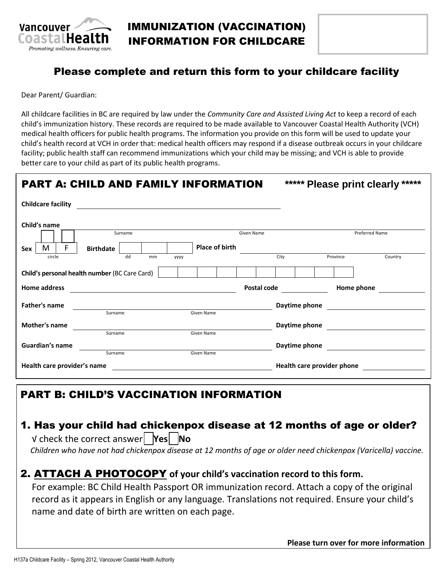

## IMMUNIZATION (VACCINATION) INFORMATION FOR CHILDCARE

## Please complete and return this form to your childcare facility

Dear Parent/ Guardian:

All childcare facilities in BC are required by law under the *Community Care and Assisted Living Act* to keep a record of each child's immunization history. These records are required to be made available to Vancouver Coastal Health Authority (VCH) medical health officers for public health programs. The information you provide on this form will be used to update your child's health record at VCH in order that: medical health officers may respond if a disease outbreak occurs in your childcare facility; public health staff can recommend immunizations which your child may be missing; and VCH is able to provide better care to your child as part of its public health programs.

| <b>PART A: CHILD AND FAMILY INFORMATION</b>   | ***** Please print clearly ***** |                            |                       |
|-----------------------------------------------|----------------------------------|----------------------------|-----------------------|
| <b>Childcare facility</b>                     |                                  |                            |                       |
| Child's name                                  |                                  |                            |                       |
| Surname                                       | Given Name                       |                            | <b>Preferred Name</b> |
| F.<br>М<br><b>Birthdate</b><br>Sex            | Place of birth                   |                            |                       |
| dd<br>circle<br>mm<br><b>YYYY</b>             |                                  | City                       | Province<br>Country   |
| Child's personal health number (BC Care Card) |                                  |                            |                       |
| <b>Home address</b>                           | Postal code                      |                            | Home phone            |
| <b>Father's name</b>                          |                                  | Daytime phone              |                       |
| Surname                                       | Given Name                       |                            |                       |
| Mother's name                                 |                                  | Daytime phone              |                       |
| Surname                                       | Given Name                       |                            |                       |
| Guardian's name                               |                                  | Daytime phone              |                       |
| Surname                                       | Given Name                       |                            |                       |
| Health care provider's name                   |                                  | Health care provider phone |                       |

## PART B: CHILD'S VACCINATION INFORMATION

# 1. Has your child had chickenpox disease at 12 months of age or older?

√ check the correct answer **Yes No** *Children who have not had chickenpox disease at 12 months of age or older need chickenpox (Varicella) vaccine.*

## 2. ATTACH A PHOTOCOPY **of your child's vaccination record to this form.**

For example: BC Child Health Passport OR immunization record. Attach a copy of the original record as it appears in English or any language. Translations not required. Ensure your child's name and date of birth are written on each page.